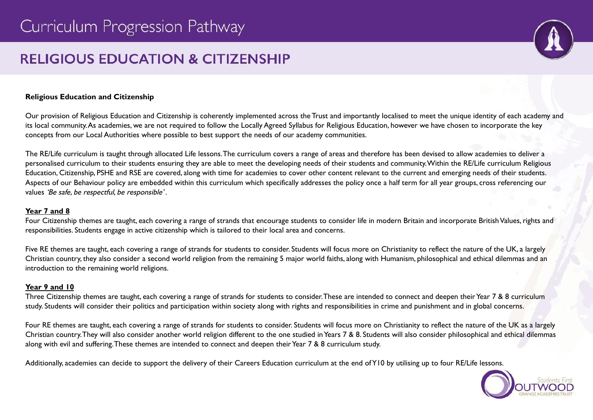# **RELIGIOUS EDUCATION & CITIZENSHIP**

# **Religious Education and Citizenship**

Our provision of Religious Education and Citizenship is coherently implemented across the Trust and importantly localised to meet the unique identity of each academy and its local community.As academies, we are not required to follow the Locally Agreed Syllabus for Religious Education, however we have chosen to incorporate the key concepts from our Local Authorities where possible to best support the needs of our academy communities.

The RE/Life curriculum is taught through allocated Life lessons.The curriculum covers a range of areas and therefore has been devised to allow academies to deliver a personalised curriculum to their students ensuring they are able to meet the developing needs of their students and community.Within the RE/Life curriculum Religious Education, Citizenship, PSHE and RSE are covered, along with time for academies to cover other content relevant to the current and emerging needs of their students. Aspects of our Behaviour policy are embedded within this curriculum which specifically addresses the policy once a half term for all year groups, cross referencing our values 'Be safe, be respectful, be responsible' .

#### **Year 7 and 8**

Four Citizenship themes are taught, each covering a range of strands that encourage students to consider life in modern Britain and incorporate British Values, rights and responsibilities. Students engage in active citizenship which is tailored to their local area and concerns.

Five RE themes are taught, each covering a range of strands for students to consider. Students will focus more on Christianity to reflect the nature of the UK, a largely Christian country, they also consider a second world religion from the remaining 5 major world faiths, along with Humanism, philosophical and ethical dilemmas and an introduction to the remaining world religions.

### **Year 9 and 10**

Three Citizenship themes are taught, each covering a range of strands for students to consider. These are intended to connect and deepen their Year 7 & 8 curriculum study. Students will consider their politics and participation within society along with rights and responsibilities in crime and punishment and in global concerns.

Four RE themes are taught, each covering a range of strands for students to consider. Students will focus more on Christianity to reflect the nature of the UK as a largely Christian country.They will also consider another world religion different to the one studied inYears 7 & 8. Students will also consider philosophical and ethical dilemmas along with evil and suffering. These themes are intended to connect and deepen their Year 7 & 8 curriculum study.

Additionally, academies can decide to support the delivery of their Careers Education curriculum at the end ofY10 by utilising up to four RE/Life lessons.

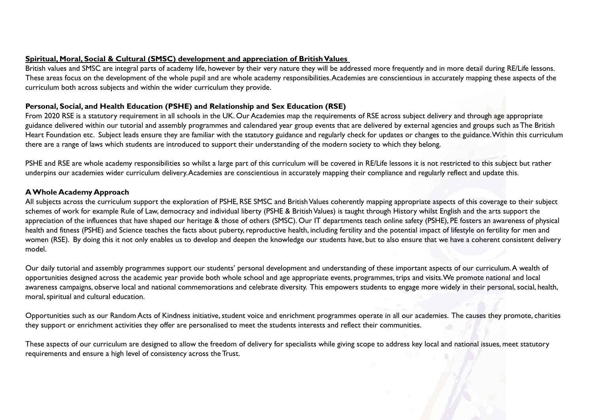# **Spiritual, Moral, Social & Cultural (SMSC) development and appreciation of BritishValues**

British values and SMSC are integral parts of academy life, however by their very nature they will be addressed more frequently and in more detail during RE/Life lessons. These areas focus on the development of the whole pupil and are whole academy responsibilities.Academies are conscientious in accurately mapping these aspects of the curriculum both across subjects and within the wider curriculum they provide.

# **Personal, Social, and Health Education (PSHE) and Relationship and Sex Education (RSE)**

From 2020 RSE is a statutory requirement in all schools in the UK. Our Academies map the requirements of RSE across subject delivery and through age appropriate guidance delivered within our tutorial and assembly programmes and calendared year group events that are delivered by external agencies and groups such as The British Heart Foundation etc. Subject leads ensure they are familiar with the statutory guidance and regularly check for updates or changes to the guidance.Within this curriculum there are a range of laws which students are introduced to support their understanding of the modern society to which they belong.

PSHE and RSE are whole academy responsibilities so whilst a large part of this curriculum will be covered in RE/Life lessons it is not restricted to this subject but rather underpins our academies wider curriculum delivery.Academies are conscientious in accurately mapping their compliance and regularly reflect and update this.

### **AWhole Academy Approach**

All subjects across the curriculum support the exploration of PSHE, RSE SMSC and British Values coherently mapping appropriate aspects of this coverage to their subject schemes of work for example Rule of Law, democracy and individual liberty (PSHE & British Values) is taught through History whilst English and the arts support the appreciation of the influences that have shaped our heritage & those of others (SMSC). Our IT departments teach online safety (PSHE), PE fosters an awareness of physical health and fitness (PSHE) and Science teaches the facts about puberty, reproductive health, including fertility and the potential impact of lifestyle on fertility for men and women (RSE). By doing this it not only enables us to develop and deepen the knowledge our students have, but to also ensure that we have a coherent consistent delivery model.

Our daily tutorial and assembly programmes support our students' personal development and understanding of these important aspects of our curriculum.A wealth of opportunities designed across the academic year provide both whole school and age appropriate events, programmes, trips and visits.We promote national and local awareness campaigns, observe local and national commemorations and celebrate diversity. This empowers students to engage more widely in their personal, social, health, moral, spiritual and cultural education.

Opportunities such as our Random Acts of Kindness initiative, student voice and enrichment programmes operate in all our academies. The causes they promote, charities they support or enrichment activities they offer are personalised to meet the students interests and reflect their communities.

These aspects of our curriculum are designed to allow the freedom of delivery for specialists while giving scope to address key local and national issues, meet statutory requirements and ensure a high level of consistency across the Trust.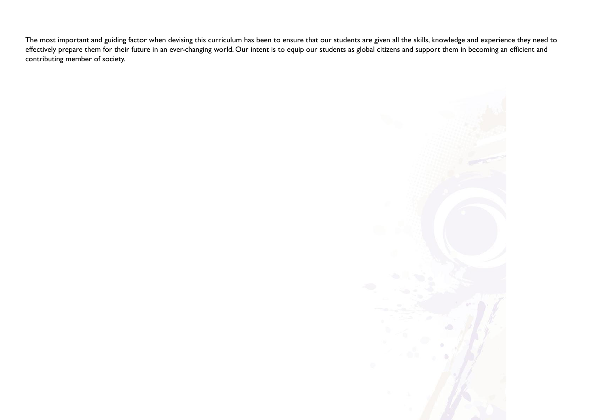The most important and guiding factor when devising this curriculum has been to ensure that our students are given all the skills, knowledge and experience they need to effectively prepare them for their future in an ever-changing world. Our intent is to equip our students as global citizens and support them in becoming an efficient and contributing member of society.

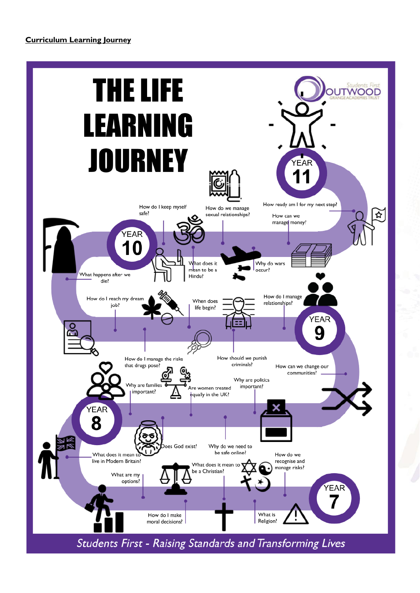# **Curriculum Learning Journey**

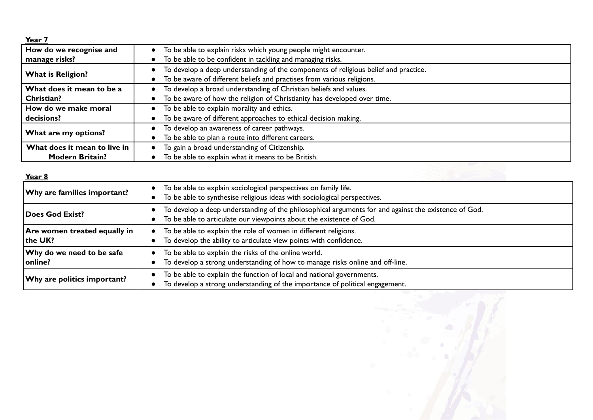|--|--|--|

| <u></u>                      |                                                                                     |
|------------------------------|-------------------------------------------------------------------------------------|
| How do we recognise and      | To be able to explain risks which young people might encounter.                     |
| manage risks?                | To be able to be confident in tackling and managing risks.                          |
| <b>What is Religion?</b>     | To develop a deep understanding of the components of religious belief and practice. |
|                              | To be aware of different beliefs and practises from various religions.              |
| What does it mean to be a    | To develop a broad understanding of Christian beliefs and values.                   |
| Christian?                   | To be aware of how the religion of Christianity has developed over time.            |
| How do we make moral         | To be able to explain morality and ethics.                                          |
| decisions?                   | To be aware of different approaches to ethical decision making.                     |
| What are my options?         | To develop an awareness of career pathways.<br>$\bullet$                            |
|                              | To be able to plan a route into different careers.                                  |
| What does it mean to live in | To gain a broad understanding of Citizenship.                                       |
| <b>Modern Britain?</b>       | To be able to explain what it means to be British.                                  |

| Year 8                                   |                                                                                                                                                                             |
|------------------------------------------|-----------------------------------------------------------------------------------------------------------------------------------------------------------------------------|
| $ \mathsf{W}$ hy are families important? | To be able to explain sociological perspectives on family life.<br>To be able to synthesise religious ideas with sociological perspectives.                                 |
| Does God Exist?                          | To develop a deep understanding of the philosophical arguments for and against the existence of God.<br>To be able to articulate our viewpoints about the existence of God. |
| Are women treated equally in<br>the UK?  | To be able to explain the role of women in different religions.<br>To develop the ability to articulate view points with confidence.                                        |
| Why do we need to be safe<br>online?     | To be able to explain the risks of the online world.<br>To develop a strong understanding of how to manage risks online and off-line.                                       |
| Why are politics important?              | To be able to explain the function of local and national governments.<br>To develop a strong understanding of the importance of political engagement.                       |